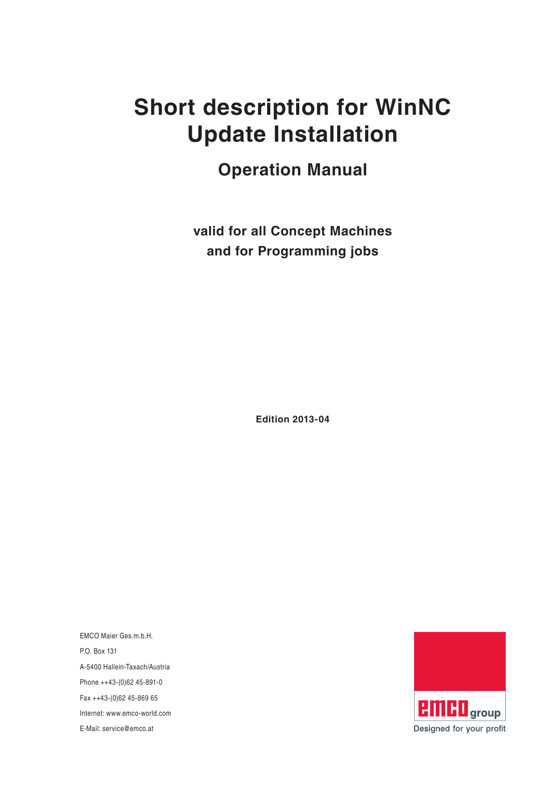# **Short description for WinNC Update Installation**

**Operation Manual**

**valid for all Concept Machines and for Programming jobs**

**Edition 2013-04**

EMCO Maier Ges.m.b.H. P.O. Box 131 A-5400 Hallein-Taxach/Austria Phone ++43-(0)62 45-891-0 Fax ++43-(0)62 45-869 65 Internet: www.emco-world.com

E-Mail: service@emco.at

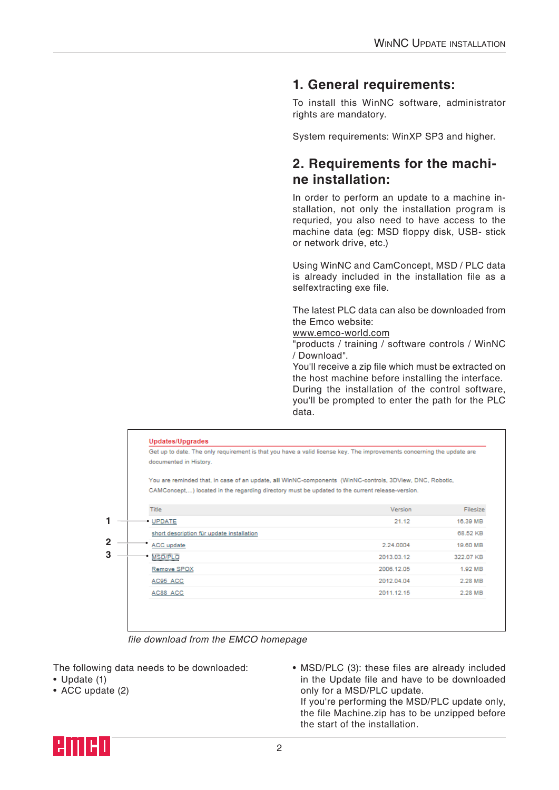## **1. General requirements:**

To install this WinNC software, administrator rights are mandatory.

System requirements: WinXP SP3 and higher.

### **2. Requirements for the machine installation:**

In order to perform an update to a machine installation, not only the installation program is requried, you also need to have access to the machine data (eg: MSD floppy disk, USB- stick or network drive, etc.)

Using WinNC and CamConcept, MSD / PLC data is already included in the installation file as a selfextracting exe file.

The latest PLC data can also be downloaded from the Emco website:

[www.emco-world.com](http://www.emco-world.com)

"products / training / software controls / WinNC / Download".

You'll receive a zip file which must be extracted on the host machine before installing the interface. During the installation of the control software, you'll be prompted to enter the path for the PLC data.



file download from the EMCO homepage

The following data needs to be downloaded:

- Update (1)
- ACC update (2)

• MSD/PLC (3): these files are already included in the Update file and have to be downloaded only for a MSD/PLC update. If you're performing the MSD/PLC update only, the file Machine.zip has to be unzipped before the start of the installation.

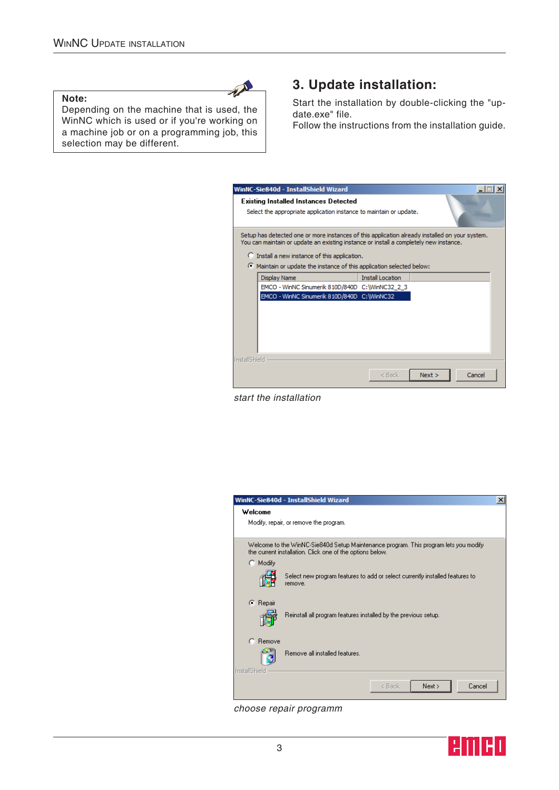#### **Note:**

Depending on the machine that is used, the WinNC which is used or if you're working on a machine job or on a programming job, this selection may be different.

AN

# **3. Update installation:**

Start the installation by double-clicking the "update.exe" file.

Follow the instructions from the installation guide.

|               | WinNC-Sie840d - InstallShield Wizard<br><b>Existing Installed Instances Detected</b><br>Select the appropriate application instance to maintain or update.                                                                               |                         |        |        |
|---------------|------------------------------------------------------------------------------------------------------------------------------------------------------------------------------------------------------------------------------------------|-------------------------|--------|--------|
|               | Setup has detected one or more instances of this application already installed on your system.<br>You can maintain or update an existing instance or install a completely new instance.<br>C Install a new instance of this application. |                         |        |        |
|               | Maintain or update the instance of this application selected below:<br>Display Name<br>EMCO - WinNC Sinumerik 810D/840D C: WinNC32 2 3<br>EMCO - WinNC Sinumerik 810D/840D C:\WinNC32                                                    | <b>Install Location</b> |        |        |
| InstallShield |                                                                                                                                                                                                                                          | $<$ Back                | Next > | Cancel |

start the installation

|                                                  | WinNC-Sie840d - InstallShield Wizard                                                                                                              | × |  |
|--------------------------------------------------|---------------------------------------------------------------------------------------------------------------------------------------------------|---|--|
| Welcome                                          |                                                                                                                                                   |   |  |
|                                                  | Modify, repair, or remove the program.                                                                                                            |   |  |
|                                                  | Welcome to the WinNC-Sie840d Setup Maintenance program. This program lets you modify<br>the current installation. Click one of the options below. |   |  |
| C Modify                                         |                                                                                                                                                   |   |  |
|                                                  | Select new program features to add or select currently installed features to<br>remove.                                                           |   |  |
| C Repair                                         | Reinstall all program features installed by the previous setup.                                                                                   |   |  |
| C Remove<br>دد<br>Remove all installed features. |                                                                                                                                                   |   |  |
| InstallShield                                    | Cancel<br>Next ><br>< Back                                                                                                                        |   |  |

choose repair programm

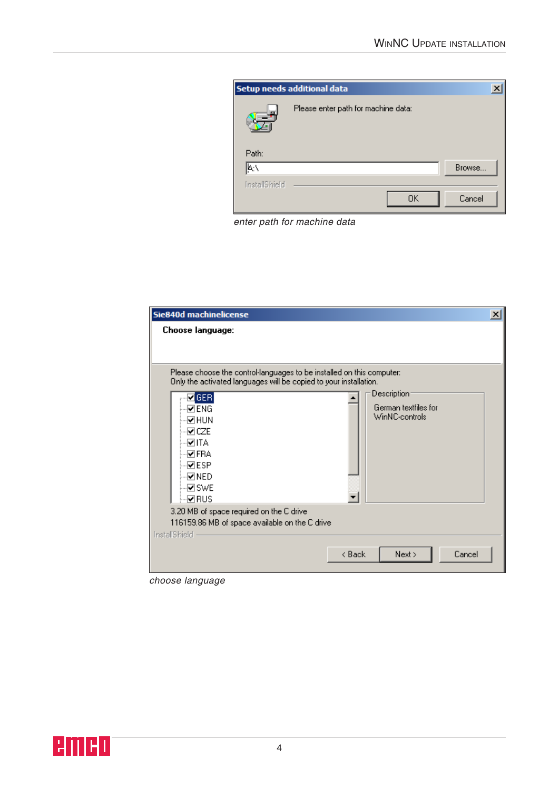

enter path for machine data

| Sie840d machinelicense<br>Choose language:                                                                                                                                                                                                                                                                                                                 | $\vert x \vert$                                                    |
|------------------------------------------------------------------------------------------------------------------------------------------------------------------------------------------------------------------------------------------------------------------------------------------------------------------------------------------------------------|--------------------------------------------------------------------|
| Please choose the control-languages to be installed on this computer:<br>Only the activated languages will be copied to your installation.<br>$\blacksquare$ GER<br>⊡ENG<br>⊡HUN<br>vcze<br>√⊓া⊼<br>⊹ <mark>Ø</mark> FRA<br>⊹⊠ESP<br>⊹⊡NED<br>√ाSWE<br>டுRUS<br>3.20 MB of space required on the C drive<br>116159.86 MB of space available on the C drive | Description <sup>®</sup><br>German textfiles for<br>WinNC-controls |
| InstallShield                                                                                                                                                                                                                                                                                                                                              | < Back<br>Next<br>Cancel                                           |

choose language

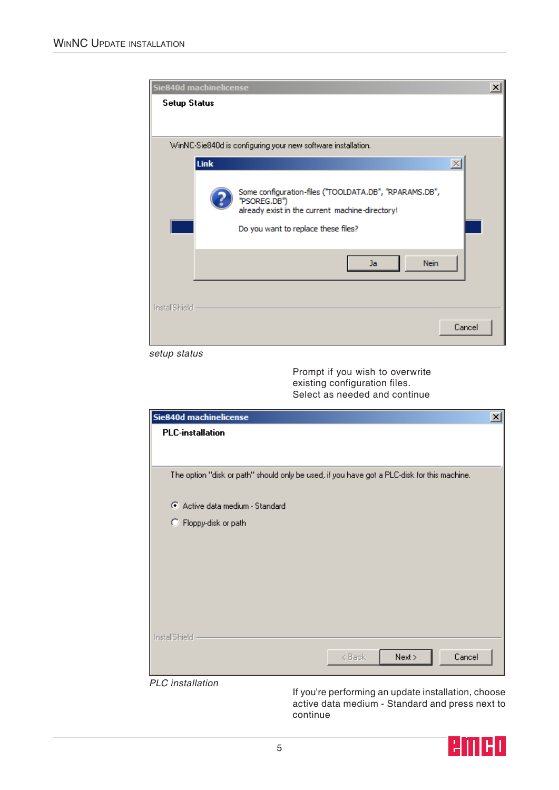|                     | Sie840d machinelicense                                                                                                                                           | × |
|---------------------|------------------------------------------------------------------------------------------------------------------------------------------------------------------|---|
| <b>Setup Status</b> |                                                                                                                                                                  |   |
|                     |                                                                                                                                                                  |   |
|                     | WinNC-Sie840d is configuring your new software installation.                                                                                                     |   |
|                     | <b>Link</b><br>$\times$                                                                                                                                          |   |
|                     | Some configuration-files ("TOOLDATA.DB", "RPARAMS.DB",<br>"PSOREG.DB")<br>already exist in the current machine-directory!<br>Do you want to replace these files? |   |
|                     | <b>Nein</b><br>Ja.                                                                                                                                               |   |
| InstallShield       |                                                                                                                                                                  |   |
|                     | Cancel                                                                                                                                                           |   |

setup status

Prompt if you wish to overwrite existing configuration files. Select as needed and continue

| Sie840d machinelicense                                                                      | $\vert x \vert$ |
|---------------------------------------------------------------------------------------------|-----------------|
| <b>PLC-installation</b>                                                                     |                 |
|                                                                                             |                 |
|                                                                                             |                 |
| The option "disk or path" should only be used, if you have got a PLC-disk for this machine. |                 |
|                                                                                             |                 |
| Active data medium - Standard                                                               |                 |
| C Floppy-disk or path                                                                       |                 |
|                                                                                             |                 |
|                                                                                             |                 |
|                                                                                             |                 |
|                                                                                             |                 |
|                                                                                             |                 |
|                                                                                             |                 |
| InstallShield                                                                               |                 |
| Cancel<br>Next >                                                                            |                 |
| < Back                                                                                      |                 |
| <b>PLC</b> installation                                                                     |                 |

If you're performing an update installation, choose active data medium - Standard and press next to continue

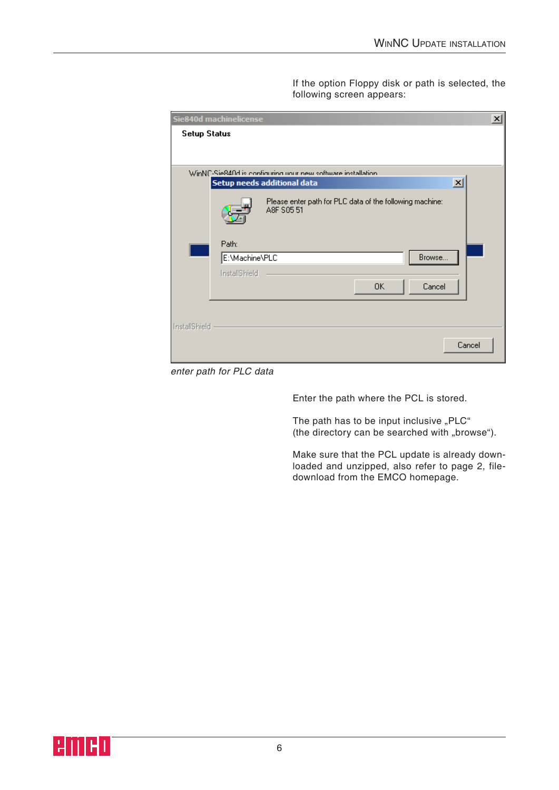If the option Floppy disk or path is selected, the following screen appears:

|                     | Sie840d machinelicense                                                 | $\vert x \vert$ |
|---------------------|------------------------------------------------------------------------|-----------------|
| <b>Setup Status</b> |                                                                        |                 |
|                     |                                                                        |                 |
|                     |                                                                        |                 |
|                     | WinNC-Sie840d is configuring uour new software installation.           |                 |
|                     | $\vert x \vert$<br>Setup needs additional data                         |                 |
|                     | Please enter path for PLC data of the following machine:<br>A8F S05 51 |                 |
|                     | Path:                                                                  |                 |
|                     | E:\Machine\PLC<br>Browse                                               |                 |
|                     | InstallShield                                                          |                 |
|                     | 0K<br>Cancel                                                           |                 |
|                     |                                                                        |                 |
| InstallShield       |                                                                        |                 |
|                     | Cancel                                                                 |                 |

enter path for PLC data

Enter the path where the PCL is stored.

The path has to be input inclusive "PLC" (the directory can be searched with "browse").

Make sure that the PCL update is already downloaded and unzipped, also refer to page 2, filedownload from the EMCO homepage.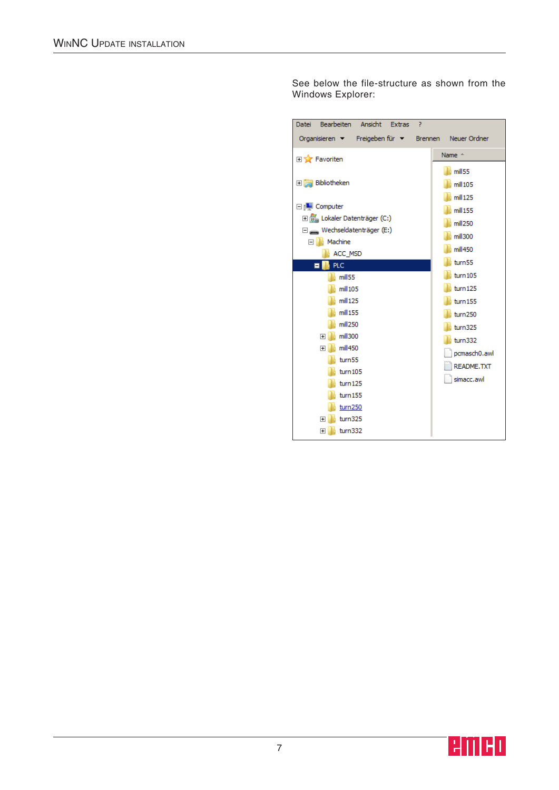See below the file-structure as shown from the Windows Explorer:

| Bearbeiten Ansicht<br>7<br><b>Datei</b><br><b>Extras</b> |                    |
|----------------------------------------------------------|--------------------|
| Organisieren > Freigeben für > Brennen Neuer Ordner      |                    |
| <b>Extra</b> Favoriten                                   | Name $-$           |
|                                                          | mill <sub>55</sub> |
| 田 Bibliotheken                                           | $mill$ 105         |
|                                                          | $mill$ 125         |
| □ <sub>I</sub> ll Computer                               | $mill$ 155         |
| El Bigger (C:)                                           | mill250            |
| $\Box$ Wechseldatenträger (E:)                           | mill300            |
| Machine<br>FI II                                         | mill450            |
| ACC_MSD<br><b>PLC</b><br>Ξ                               | turn55             |
| mill <sub>55</sub>                                       | turn 105           |
| mill 105                                                 | turn 125           |
| $mill$ 125                                               | turn 155           |
| $mill$ 155                                               | turn250            |
| mill250                                                  |                    |
| mill300<br>⊞                                             | turn325            |
| mill450<br>Ŧ                                             | turn332            |
| turn55                                                   | pcmasch0.awl       |
| turn105                                                  | <b>README, TXT</b> |
| turn125                                                  | simacc.awl         |
| turn155                                                  |                    |
| turn250                                                  |                    |
| turn325<br>$\overline{+}$                                |                    |
| turn332<br>$\overline{+}$                                |                    |

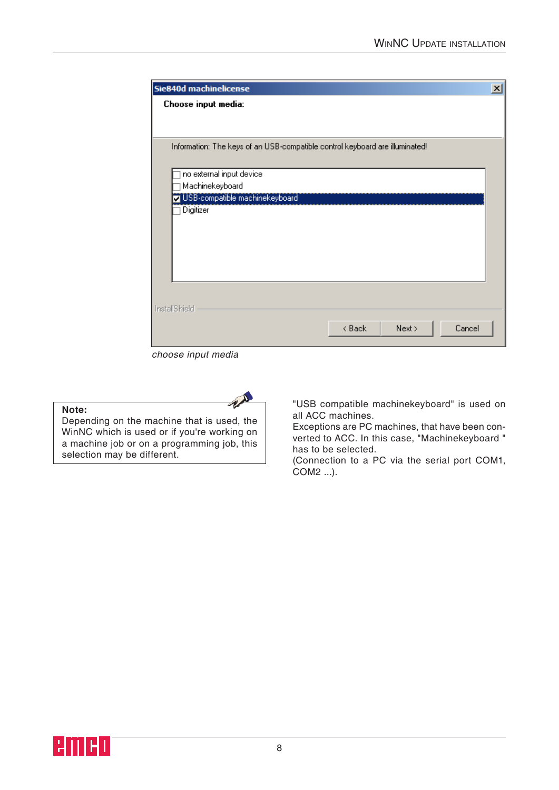| Sie840d machinelicense                                                       | $\vert x \vert$ |
|------------------------------------------------------------------------------|-----------------|
| Choose input media:                                                          |                 |
|                                                                              |                 |
|                                                                              |                 |
| Information: The keys of an USB-compatible control keyboard are illuminated! |                 |
| no external input device                                                     |                 |
| Machinekeyboard                                                              |                 |
| USB-compatible machinekeyboard                                               |                 |
| Digitizer                                                                    |                 |
|                                                                              |                 |
|                                                                              |                 |
|                                                                              |                 |
|                                                                              |                 |
|                                                                              |                 |
| InstallShield                                                                |                 |
| Cancel<br>Next<br>< Back                                                     |                 |
|                                                                              |                 |

choose input media

 $A$ 

#### **Note:**

Depending on the machine that is used, the WinNC which is used or if you're working on a machine job or on a programming job, this selection may be different.

"USB compatible machinekeyboard" is used on all ACC machines.

Exceptions are PC machines, that have been converted to ACC. In this case, "Machinekeyboard " has to be selected.

(Connection to a PC via the serial port COM1, COM2 ...).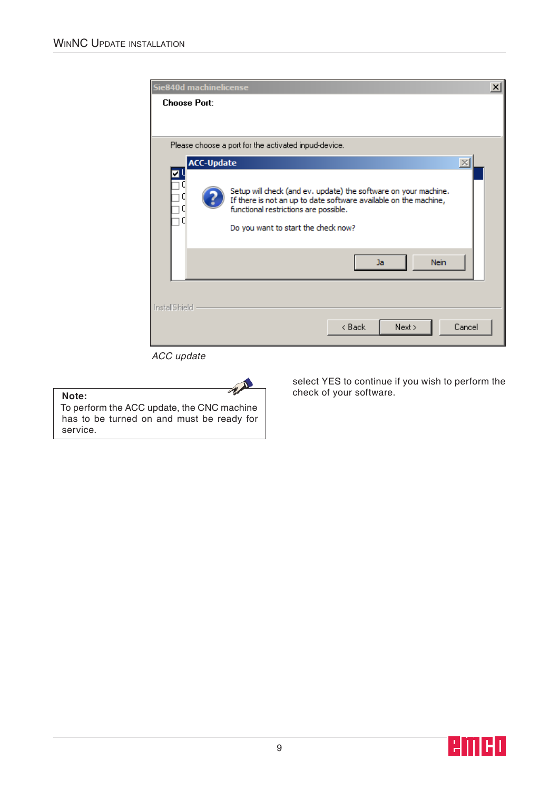| Sie840d machinelicense                                                                                                                                                                                              | ×            |
|---------------------------------------------------------------------------------------------------------------------------------------------------------------------------------------------------------------------|--------------|
| <b>Choose Port:</b>                                                                                                                                                                                                 |              |
| Please choose a port for the activated inpud-device.                                                                                                                                                                |              |
| <b>ACC-Update</b>                                                                                                                                                                                                   | $\mathbb{X}$ |
| Setup will check (and ev. update) the software on your machine.<br>If there is not an up to date software available on the machine,<br>functional restrictions are possible.<br>Do you want to start the check now? |              |
| <b>Nein</b><br>Ja                                                                                                                                                                                                   |              |
| <b>InstallShield</b><br>< Back<br>Next >                                                                                                                                                                            | Cancel       |
|                                                                                                                                                                                                                     |              |

ACC update

## AN To perform the ACC update, the CNC machine has to be turned on and must be ready for

**Note:**

service.

select YES to continue if you wish to perform the check of your software.